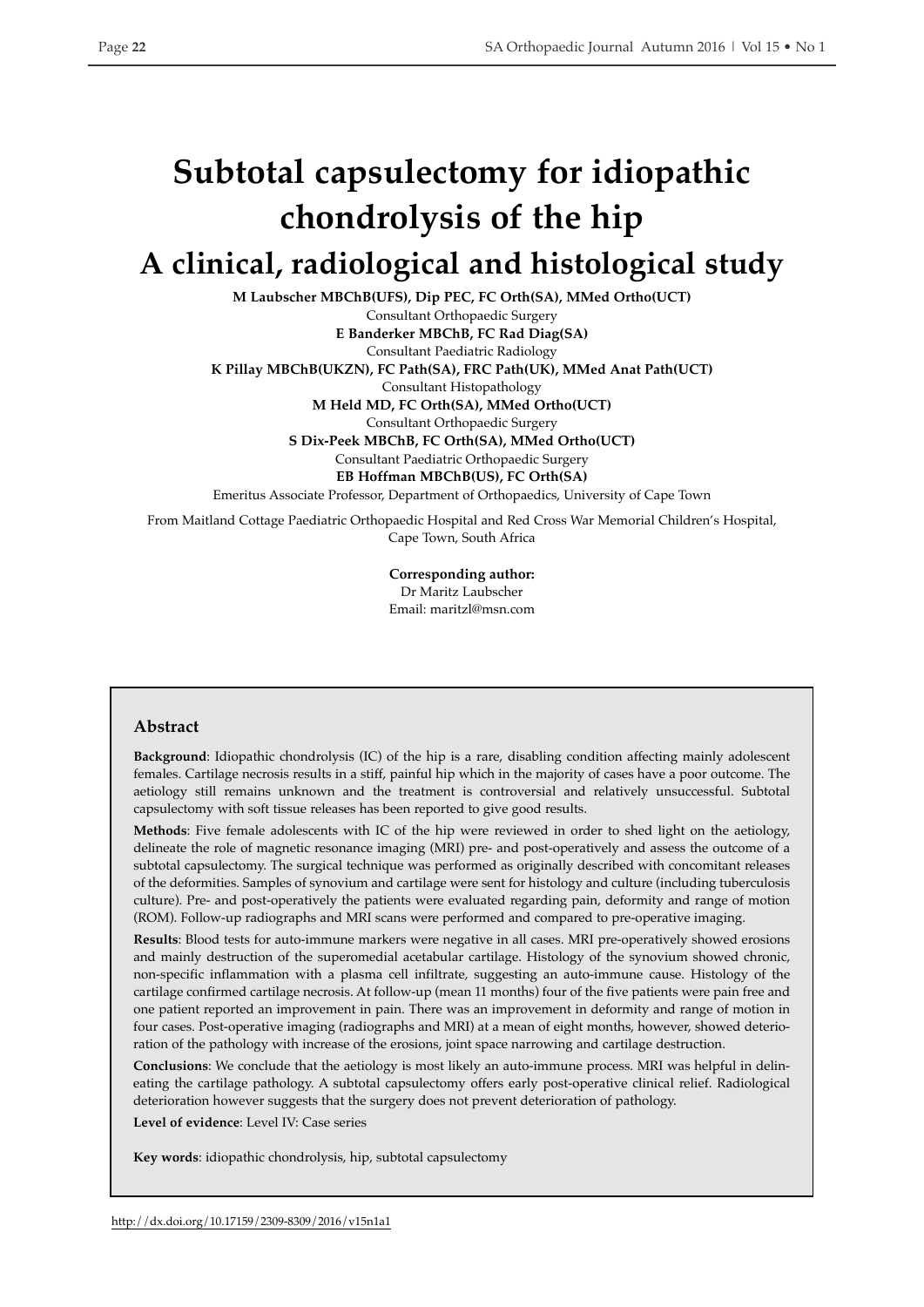# **Subtotal capsulectomy for idiopathic chondrolysis of the hip A clinical, radiological and histological study**

**M Laubscher MBChB(UFS), Dip PEC, FC Orth(SA), MMed Ortho(UCT)** Consultant Orthopaedic Surgery

**E Banderker MBChB, FC Rad Diag(SA)** Consultant Paediatric Radiology **k Pillay MBChB(UkZN), FC Path(SA), FRC Path(Uk), MMed Anat Path(UCT)** Consultant Histopathology **M Held MD, FC Orth(SA), MMed Ortho(UCT)** Consultant Orthopaedic Surgery **S Dix-Peek MBChB, FC Orth(SA), MMed Ortho(UCT)** Consultant Paediatric Orthopaedic Surgery **EB Hoffman MBChB(US), FC Orth(SA)** Emeritus Associate Professor, Department of Orthopaedics, University of Cape Town

From Maitland Cottage Paediatric Orthopaedic Hospital and Red Cross War Memorial Children's Hospital,

Cape Town, South Africa

**Corresponding author:** Dr Maritz Laubscher Email: maritzl@msn.com

# **Abstract**

**Background**: Idiopathic chondrolysis (IC) of the hip is a rare, disabling condition affecting mainly adolescent females. Cartilage necrosis results in a stiff, painful hip which in the majority of cases have a poor outcome. The aetiology still remains unknown and the treatment is controversial and relatively unsuccessful. Subtotal capsulectomy with soft tissue releases has been reported to give good results.

**Methods**: Five female adolescents with IC of the hip were reviewed in order to shed light on the aetiology, delineate the role of magnetic resonance imaging (MRI) pre- and post-operatively and assess the outcome of a subtotal capsulectomy. The surgical technique was performed as originally described with concomitant releases of the deformities. Samples of synovium and cartilage were sent for histology and culture (including tuberculosis culture). Pre- and post-operatively the patients were evaluated regarding pain, deformity and range of motion (ROM). Follow-up radiographs and MRI scans were performed and compared to pre-operative imaging.

**Results**: Blood tests for auto-immune markers were negative in all cases. MRI pre-operatively showed erosions and mainly destruction of the superomedial acetabular cartilage. Histology of the synovium showed chronic, non-specific inflammation with a plasma cell infiltrate, suggesting an auto-immune cause. Histology of the cartilage confirmed cartilage necrosis. At follow-up (mean 11 months) four of the five patients were pain free and one patient reported an improvement in pain. There was an improvement in deformity and range of motion in four cases. Post-operative imaging (radiographs and MRI) at a mean of eight months, however, showed deterioration of the pathology with increase of the erosions, joint space narrowing and cartilage destruction.

**Conclusions**: We conclude that the aetiology is most likely an auto-immune process. MRI was helpful in delineating the cartilage pathology. A subtotal capsulectomy offers early post-operative clinical relief. Radiological deterioration however suggests that the surgery does not prevent deterioration of pathology.

**Level of evidence**: Level IV: Case series

**Key words**: idiopathic chondrolysis, hip, subtotal capsulectomy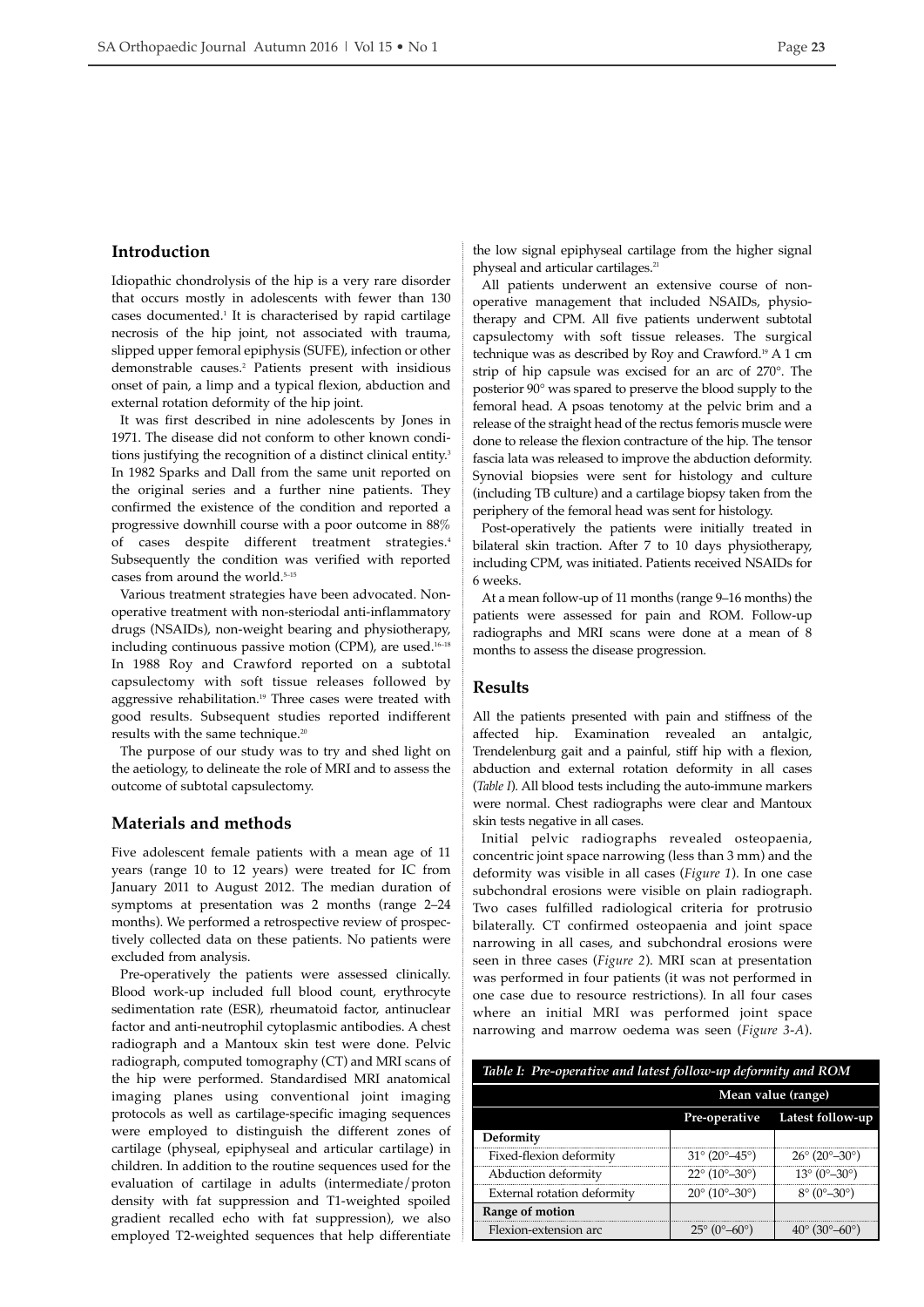## **Introduction**

Idiopathic chondrolysis of the hip is a very rare disorder that occurs mostly in adolescents with fewer than 130 cases documented. <sup>1</sup> It is characterised by rapid cartilage necrosis of the hip joint, not associated with trauma, slipped upper femoral epiphysis (SUFE), infection or other demonstrable causes. <sup>2</sup> Patients present with insidious onset of pain, a limp and a typical flexion, abduction and external rotation deformity of the hip joint.

It was first described in nine adolescents by Jones in 1971. The disease did not conform to other known conditions justifying the recognition of a distinct clinical entity. 3 In 1982 Sparks and Dall from the same unit reported on the original series and a further nine patients. They confirmed the existence of the condition and reported a progressive downhill course with a poor outcome in 88% of cases despite different treatment strategies. 4 Subsequently the condition was verified with reported cases from around the world. 5–15

Various treatment strategies have been advocated. Nonoperative treatment with non-steriodal anti-inflammatory drugs (NSAIDs), non-weight bearing and physiotherapy, including continuous passive motion (CPM), are used. 16–18 In 1988 Roy and Crawford reported on a subtotal capsulectomy with soft tissue releases followed by aggressive rehabilitation. <sup>19</sup> Three cases were treated with good results. Subsequent studies reported indifferent results with the same technique. 20

The purpose of our study was to try and shed light on the aetiology, to delineate the role of MRI and to assess the outcome of subtotal capsulectomy.

## **Materials and methods**

Five adolescent female patients with a mean age of 11 years (range 10 to 12 years) were treated for IC from January 2011 to August 2012. The median duration of symptoms at presentation was 2 months (range 2–24 months). We performed a retrospective review of prospectively collected data on these patients. No patients were excluded from analysis.

Pre-operatively the patients were assessed clinically. Blood work-up included full blood count, erythrocyte sedimentation rate (ESR), rheumatoid factor, antinuclear factor and anti-neutrophil cytoplasmic antibodies. A chest radiograph and a Mantoux skin test were done. Pelvic radiograph, computed tomography (CT) and MRI scans of the hip were performed. Standardised MRI anatomical imaging planes using conventional joint imaging protocols as well as cartilage-specific imaging sequences were employed to distinguish the different zones of cartilage (physeal, epiphyseal and articular cartilage) in children. In addition to the routine sequences used for the evaluation of cartilage in adults (intermediate/proton density with fat suppression and T1-weighted spoiled gradient recalled echo with fat suppression), we also employed T2-weighted sequences that help differentiate the low signal epiphyseal cartilage from the higher signal physeal and articular cartilages. 21

All patients underwent an extensive course of nonoperative management that included NSAIDs, physiotherapy and CPM. All five patients underwent subtotal capsulectomy with soft tissue releases. The surgical technique was as described by Roy and Crawford. <sup>19</sup> A 1 cm strip of hip capsule was excised for an arc of 270°. The posterior 90° was spared to preserve the blood supply to the femoral head. A psoas tenotomy at the pelvic brim and a release of the straight head of the rectus femoris muscle were done to release the flexion contracture of the hip. The tensor fascia lata was released to improve the abduction deformity. Synovial biopsies were sent for histology and culture (including TB culture) and a cartilage biopsy taken from the periphery of the femoral head was sent for histology.

Post-operatively the patients were initially treated in bilateral skin traction. After 7 to 10 days physiotherapy, including CPM, was initiated. Patients received NSAIDs for 6 weeks.

At a mean follow-up of 11 months (range 9–16 months) the patients were assessed for pain and ROM. Follow-up radiographs and MRI scans were done at a mean of 8 months to assess the disease progression.

#### **Results**

All the patients presented with pain and stiffness of the affected hip. Examination revealed an antalgic, Trendelenburg gait and a painful, stiff hip with a flexion, abduction and external rotation deformity in all cases (*Table I*). All blood tests including the auto-immune markers were normal. Chest radiographs were clear and Mantoux skin tests negative in all cases.

Initial pelvic radiographs revealed osteopaenia, concentric joint space narrowing (less than 3 mm) and the deformity was visible in all cases (*Figure 1*). In one case subchondral erosions were visible on plain radiograph. Two cases fulfilled radiological criteria for protrusio bilaterally. CT confirmed osteopaenia and joint space narrowing in all cases, and subchondral erosions were seen in three cases (*Figure 2*). MRI scan at presentation was performed in four patients (it was not performed in one case due to resource restrictions). In all four cases where an initial MRI was performed joint space narrowing and marrow oedema was seen (*Figure 3-A*).

|  |  |  | Table I: Pre-operative and latest follow-up deformity and ROM |  |  |  |
|--|--|--|---------------------------------------------------------------|--|--|--|
|--|--|--|---------------------------------------------------------------|--|--|--|

|                             | Mean value (range)                              |                                                |  |
|-----------------------------|-------------------------------------------------|------------------------------------------------|--|
|                             |                                                 | Pre-operative Latest follow-up                 |  |
| Deformity                   |                                                 |                                                |  |
| Fixed-flexion deformity     | $31^{\circ} (20^{\circ} - 45^{\circ})$          | $26^{\circ}$ (20 $^{\circ}$ -30 $^{\circ}$ )   |  |
| Abduction deformity         | $22^{\circ}$ (10 $^{\circ}$ -30 $^{\circ}$ )    | $13^{\circ}$ (0°–30°)                          |  |
| External rotation deformity | $20^{\circ}$ (10 $^{\circ}$ -30 $^{\circ}$ )    | $8^{\circ}$ (0 <sup>o</sup> -30 <sup>o</sup> ) |  |
| Range of motion             |                                                 |                                                |  |
| Flexion-extension arc       | $25^{\circ}$ (0 <sup>o</sup> -60 <sup>o</sup> ) | 40° (30°–60°)                                  |  |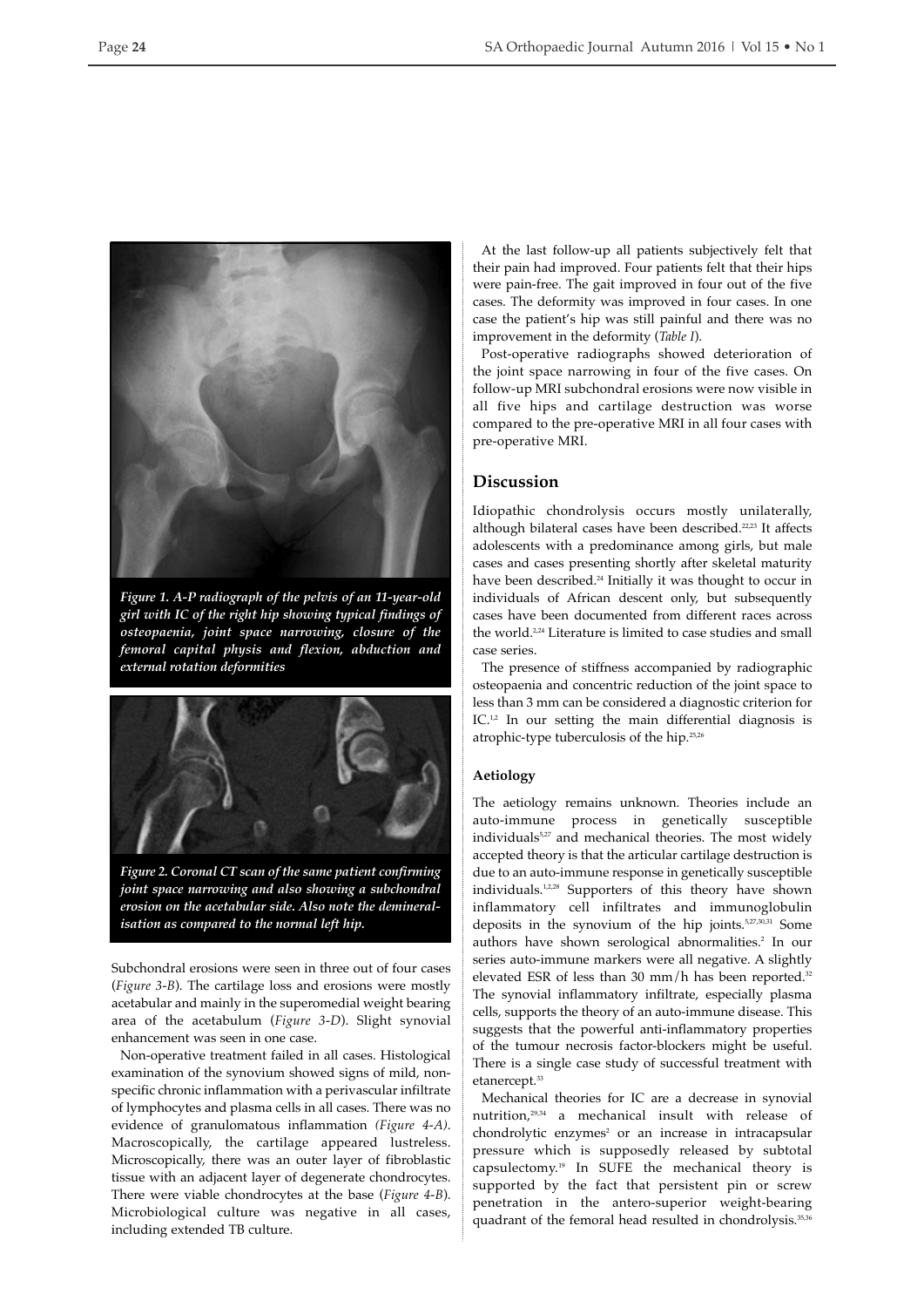

*Figure 1. A-P radiograph of the pelvis of an 11-year-old girl with iC of the right hip showing typical findings of osteopaenia, joint space narrowing, closure of the femoral capital physis and flexion, abduction and external rotation deformities*



*Figure 2. Coronal Ct scan of the same patient confirming joint space narrowing and also showing a subchondral erosion on the acetabular side. Also note the demineralisation as compared to the normal left hip.*

Subchondral erosions were seen in three out of four cases (*Figure 3-B*). The cartilage loss and erosions were mostly acetabular and mainly in the superomedial weight bearing area of the acetabulum (*Figure 3-D*). Slight synovial enhancement was seen in one case.

Non-operative treatment failed in all cases. Histological examination of the synovium showed signs of mild, nonspecific chronic inflammation with a perivascular infiltrate of lymphocytes and plasma cells in all cases. There was no evidence of granulomatous inflammation *(Figure 4-A)*. Macroscopically, the cartilage appeared lustreless. Microscopically, there was an outer layer of fibroblastic tissue with an adjacent layer of degenerate chondrocytes. There were viable chondrocytes at the base (*Figure 4-B*). Microbiological culture was negative in all cases, including extended TB culture.

At the last follow-up all patients subjectively felt that their pain had improved. Four patients felt that their hips were pain-free. The gait improved in four out of the five cases. The deformity was improved in four cases. In one case the patient's hip was still painful and there was no improvement in the deformity (*Table I*).

Post-operative radiographs showed deterioration of the joint space narrowing in four of the five cases. On follow-up MRI subchondral erosions were now visible in all five hips and cartilage destruction was worse compared to the pre-operative MRI in all four cases with pre-operative MRI.

## **Discussion**

Idiopathic chondrolysis occurs mostly unilaterally, although bilateral cases have been described.<sup>22,23</sup> It affects adolescents with a predominance among girls, but male cases and cases presenting shortly after skeletal maturity have been described. <sup>24</sup> Initially it was thought to occur in individuals of African descent only, but subsequently cases have been documented from different races across the world.<sup>2,24</sup> Literature is limited to case studies and small case series.

The presence of stiffness accompanied by radiographic osteopaenia and concentric reduction of the joint space to less than 3 mm can be considered a diagnostic criterion for IC.<sup>1,2</sup> In our setting the main differential diagnosis is atrophic-type tuberculosis of the hip. 25,26

## **Aetiology**

The aetiology remains unknown. Theories include an auto-immune process in genetically susceptible individuals<sup>5,27</sup> and mechanical theories. The most widely accepted theory is that the articular cartilage destruction is due to an auto-immune response in genetically susceptible individuals. 1,2,28 Supporters of this theory have shown inflammatory cell infiltrates and immunoglobulin deposits in the synovium of the hip joints. 5,27,30,31 Some authors have shown serological abnormalities. <sup>2</sup> In our series auto-immune markers were all negative. A slightly elevated ESR of less than 30 mm/h has been reported. 32 The synovial inflammatory infiltrate, especially plasma cells, supports the theory of an auto-immune disease. This suggests that the powerful anti-inflammatory properties of the tumour necrosis factor-blockers might be useful. There is a single case study of successful treatment with etanercept.<sup>33</sup>

Mechanical theories for IC are a decrease in synovial nutrition, 29,34 a mechanical insult with release of chondrolytic enzymes<sup>2</sup> or an increase in intracapsular pressure which is supposedly released by subtotal capsulectomy. <sup>19</sup> In SUFE the mechanical theory is supported by the fact that persistent pin or screw penetration in the antero-superior weight-bearing quadrant of the femoral head resulted in chondrolysis.<sup>35,36</sup>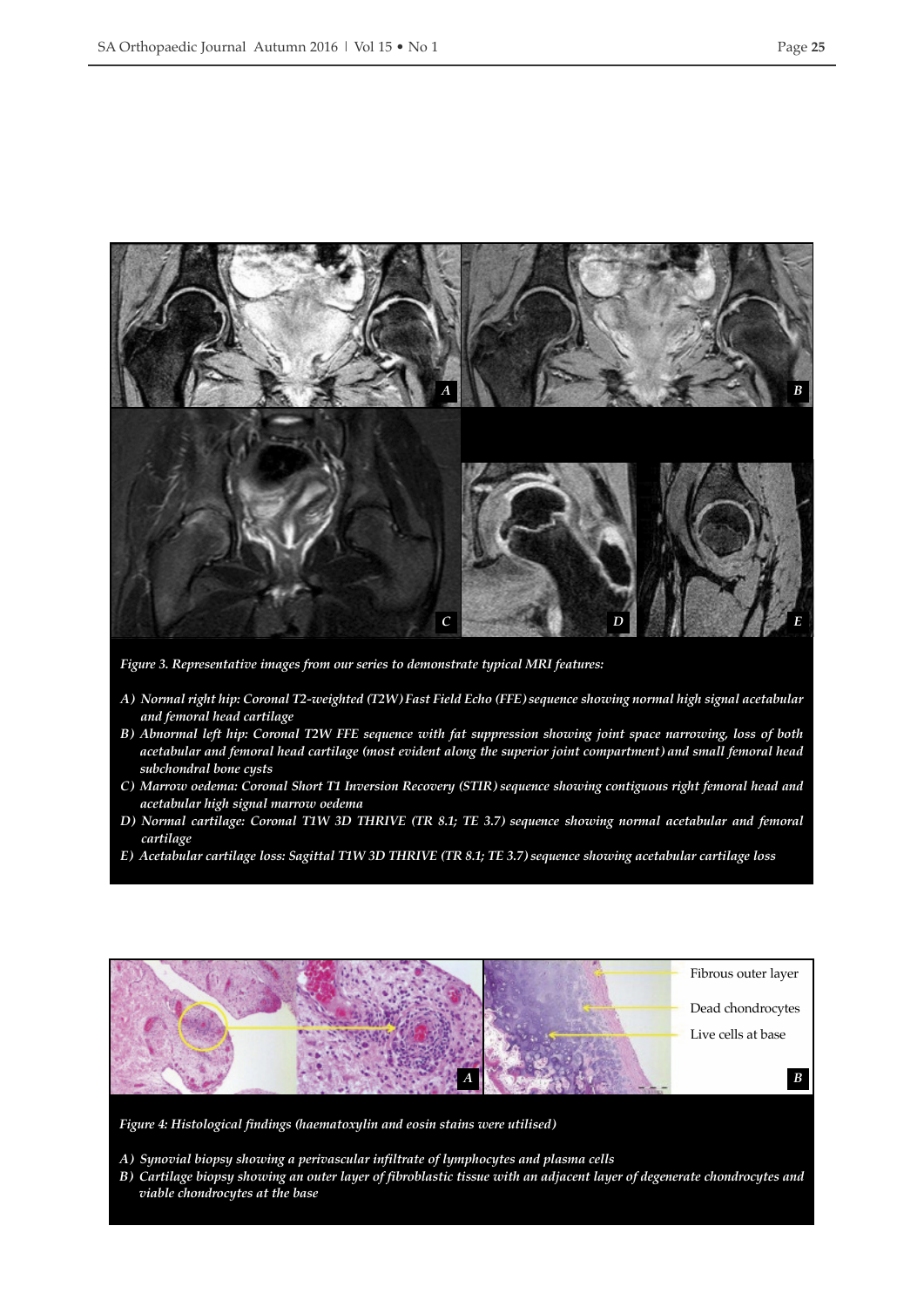

*Figure 3. representative images from our series to demonstrate typical Mri features:*

- A) Normal right hip: Coronal T2-weighted (T2W) Fast Field Echo (FFE) sequence showing normal high signal acetabular *and femoral head cartilage*
- B) Abnormal left hip: Coronal T2W FFE sequence with fat suppression showing joint space narrowing, loss of both *acetabular and femoral head cartilage (most evident along the superior joint compartment) and small femoral head subchondral bone cysts*
- *C) Marrow oedema: Coronal Short t1 inversion recovery (Stir) sequence showing contiguous right femoral head and acetabular high signal marrow oedema*
- D) Normal cartilage: Coronal T1W 3D THRIVE (TR 8.1; TE 3.7) sequence showing normal acetabular and femoral *cartilage*
- E) Acetabular cartilage loss: Sagittal T1W 3D THRIVE (TR 8.1; TE 3.7) sequence showing acetabular cartilage loss



*Figure 4: histological findings (haematoxylin and eosin stains were utilised)*

- *A) Synovial biopsy showing a perivascular infiltrate of lymphocytes and plasma cells*
- B) Cartilage biopsy showing an outer layer of fibroblastic tissue with an adjacent layer of degenerate chondrocytes and *viable chondrocytes at the base*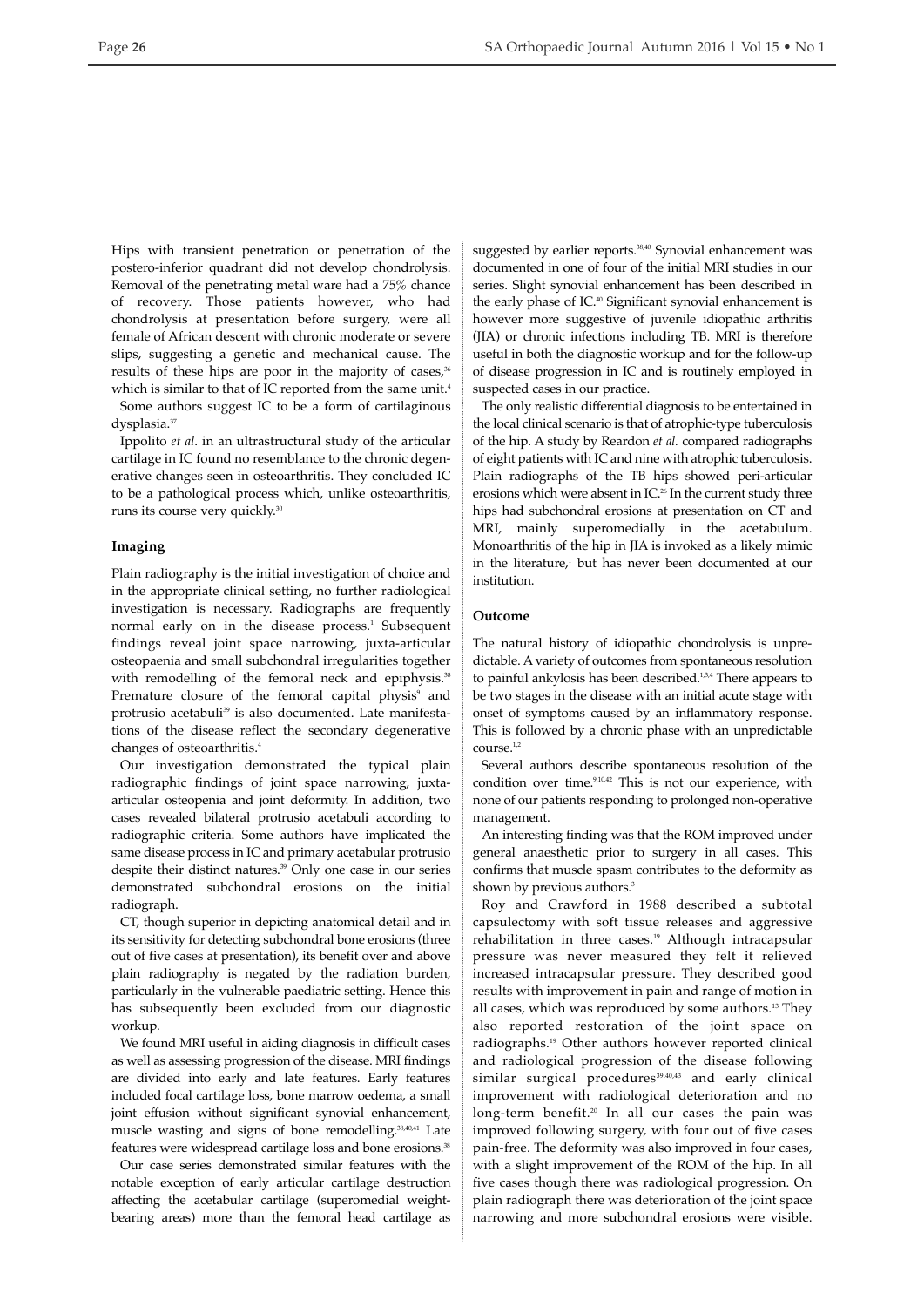Hips with transient penetration or penetration of the postero-inferior quadrant did not develop chondrolysis. Removal of the penetrating metal ware had a 75% chance of recovery. Those patients however, who had chondrolysis at presentation before surgery, were all female of African descent with chronic moderate or severe slips, suggesting a genetic and mechanical cause. The results of these hips are poor in the majority of cases, 36 which is similar to that of IC reported from the same unit.<sup>4</sup> Some authors suggest IC to be a form of cartilaginous dysplasia. 37

Ippolito *et al*. in an ultrastructural study of the articular cartilage in IC found no resemblance to the chronic degenerative changes seen in osteoarthritis. They concluded IC to be a pathological process which, unlike osteoarthritis, runs its course very quickly. 30

#### **Imaging**

Plain radiography is the initial investigation of choice and in the appropriate clinical setting, no further radiological investigation is necessary. Radiographs are frequently normal early on in the disease process. <sup>1</sup> Subsequent findings reveal joint space narrowing, juxta-articular osteopaenia and small subchondral irregularities together with remodelling of the femoral neck and epiphysis.<sup>38</sup> Premature closure of the femoral capital physis<sup>9</sup> and protrusio acetabuli <sup>39</sup> is also documented. Late manifestations of the disease reflect the secondary degenerative changes of osteoarthritis. 4

Our investigation demonstrated the typical plain radiographic findings of joint space narrowing, juxtaarticular osteopenia and joint deformity. In addition, two cases revealed bilateral protrusio acetabuli according to radiographic criteria. Some authors have implicated the same disease process in IC and primary acetabular protrusio despite their distinct natures. <sup>39</sup> Only one case in our series demonstrated subchondral erosions on the initial radiograph.

CT, though superior in depicting anatomical detail and in its sensitivity for detecting subchondral bone erosions (three out of five cases at presentation), its benefit over and above plain radiography is negated by the radiation burden, particularly in the vulnerable paediatric setting. Hence this has subsequently been excluded from our diagnostic workup.

We found MRI useful in aiding diagnosis in difficult cases as well as assessing progression of the disease. MRI findings are divided into early and late features. Early features included focal cartilage loss, bone marrow oedema, a small joint effusion without significant synovial enhancement, muscle wasting and signs of bone remodelling. 38,40,41 Late features were widespread cartilage loss and bone erosions.<sup>38</sup>

Our case series demonstrated similar features with the notable exception of early articular cartilage destruction affecting the acetabular cartilage (superomedial weightbearing areas) more than the femoral head cartilage as

suggested by earlier reports. 38,40 Synovial enhancement was documented in one of four of the initial MRI studies in our series. Slight synovial enhancement has been described in the early phase of IC. <sup>40</sup> Significant synovial enhancement is however more suggestive of juvenile idiopathic arthritis (JIA) or chronic infections including TB. MRI is therefore useful in both the diagnostic workup and for the follow-up of disease progression in IC and is routinely employed in suspected cases in our practice.

The only realistic differential diagnosis to be entertained in the local clinical scenario is that of atrophic-type tuberculosis of the hip. A study by Reardon *et al.* compared radiographs of eight patients with IC and nine with atrophic tuberculosis. Plain radiographs of the TB hips showed peri-articular erosions which were absent in IC. <sup>26</sup> In the current study three hips had subchondral erosions at presentation on CT and MRI, mainly superomedially in the acetabulum. Monoarthritis of the hip in JIA is invoked as a likely mimic in the literature, <sup>1</sup> but has never been documented at our institution.

#### **Outcome**

The natural history of idiopathic chondrolysis is unpredictable. A variety of outcomes from spontaneous resolution to painful ankylosis has been described.<sup>1,3,4</sup> There appears to be two stages in the disease with an initial acute stage with onset of symptoms caused by an inflammatory response. This is followed by a chronic phase with an unpredictable course. 1,2

Several authors describe spontaneous resolution of the condition over time. 9,10,42 This is not our experience, with none of our patients responding to prolonged non-operative management.

An interesting finding was that the ROM improved under general anaesthetic prior to surgery in all cases. This confirms that muscle spasm contributes to the deformity as shown by previous authors.<sup>3</sup>

Roy and Crawford in 1988 described a subtotal capsulectomy with soft tissue releases and aggressive rehabilitation in three cases. <sup>19</sup> Although intracapsular pressure was never measured they felt it relieved increased intracapsular pressure. They described good results with improvement in pain and range of motion in all cases, which was reproduced by some authors. <sup>13</sup> They also reported restoration of the joint space on radiographs. <sup>19</sup> Other authors however reported clinical and radiological progression of the disease following similar surgical procedures<sup>39,40,43</sup> and early clinical improvement with radiological deterioration and no long-term benefit. <sup>20</sup> In all our cases the pain was improved following surgery, with four out of five cases pain-free. The deformity was also improved in four cases, with a slight improvement of the ROM of the hip. In all five cases though there was radiological progression. On plain radiograph there was deterioration of the joint space narrowing and more subchondral erosions were visible.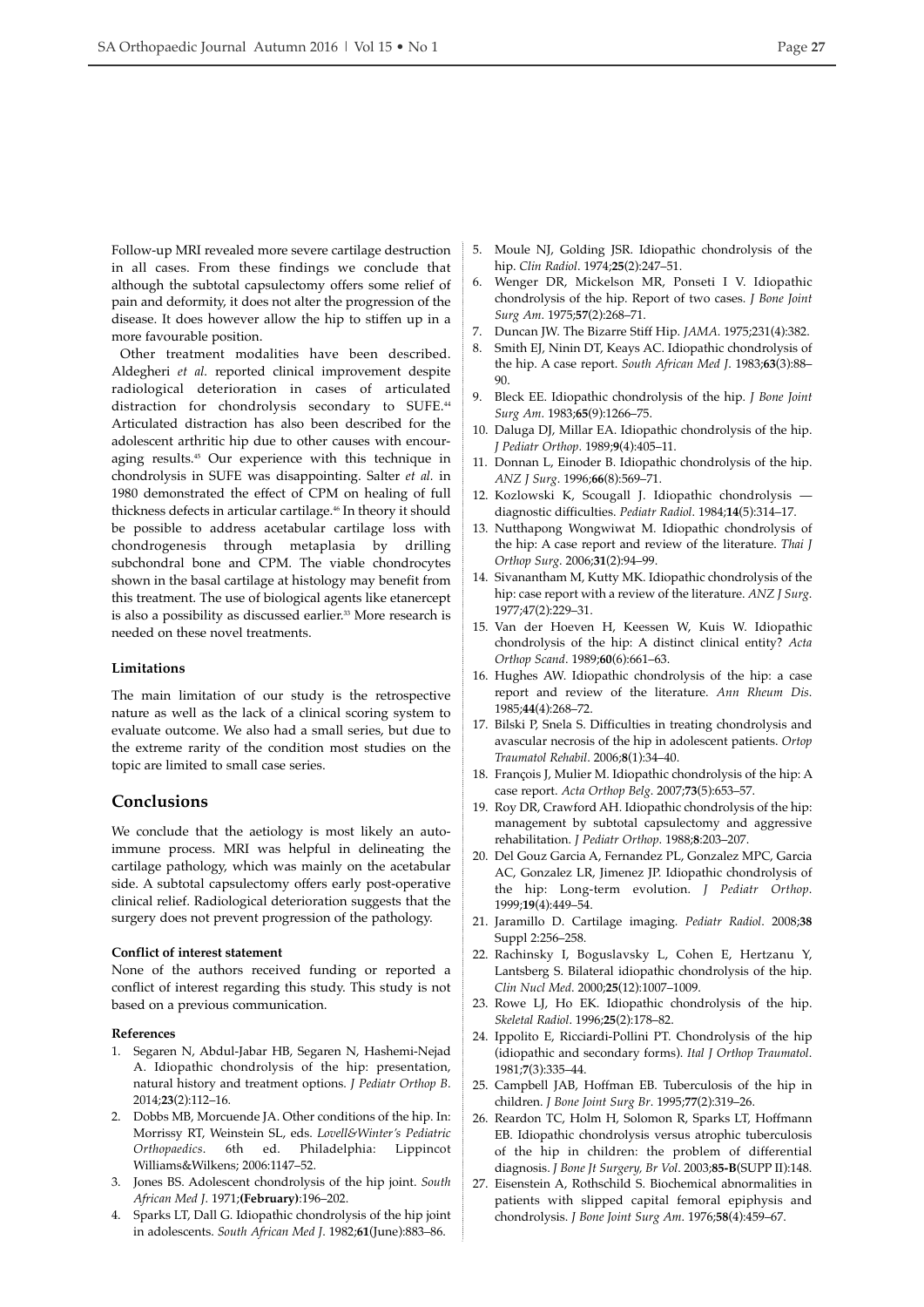Follow-up MRI revealed more severe cartilage destruction in all cases. From these findings we conclude that although the subtotal capsulectomy offers some relief of pain and deformity, it does not alter the progression of the disease. It does however allow the hip to stiffen up in a more favourable position.

Other treatment modalities have been described. Aldegheri *et al.* reported clinical improvement despite radiological deterioration in cases of articulated distraction for chondrolysis secondary to SUFE.<sup>44</sup> Articulated distraction has also been described for the adolescent arthritic hip due to other causes with encouraging results. <sup>45</sup> Our experience with this technique in chondrolysis in SUFE was disappointing. Salter *et al.* in 1980 demonstrated the effect of CPM on healing of full thickness defects in articular cartilage. <sup>46</sup> In theory it should be possible to address acetabular cartilage loss with chondrogenesis through metaplasia by drilling subchondral bone and CPM. The viable chondrocytes shown in the basal cartilage at histology may benefit from this treatment. The use of biological agents like etanercept is also a possibility as discussed earlier. <sup>33</sup> More research is needed on these novel treatments.

#### **Limitations**

The main limitation of our study is the retrospective nature as well as the lack of a clinical scoring system to evaluate outcome. We also had a small series, but due to the extreme rarity of the condition most studies on the topic are limited to small case series.

## **Conclusions**

We conclude that the aetiology is most likely an autoimmune process. MRI was helpful in delineating the cartilage pathology, which was mainly on the acetabular side. A subtotal capsulectomy offers early post-operative clinical relief. Radiological deterioration suggests that the surgery does not prevent progression of the pathology.

#### **Conflict of interest statement**

None of the authors received funding or reported a conflict of interest regarding this study. This study is not based on a previous communication.

#### **References**

- 1. Segaren N, Abdul-Jabar HB, Segaren N, Hashemi-Nejad A. Idiopathic chondrolysis of the hip: presentation, natural history and treatment options. *J Pediatr Orthop B*. 2014;**23**(2):112–16.
- 2. Dobbs MB, Morcuende JA. Other conditions of the hip. In: Morrissy RT, Weinstein SL, eds. *Lovell&Winter's Pediatric Orthopaedics*. 6th ed. Philadelphia: Lippincot Williams&Wilkens; 2006:1147–52.
- 3. Jones BS. Adolescent chondrolysis of the hip joint. *South African Med J*. 1971;**(February)**:196–202.
- 4. Sparks LT, Dall G. Idiopathic chondrolysis of the hip joint in adolescents. *South African Med J*. 1982;**61**(June):883–86.
- 5. Moule NJ, Golding JSR. Idiopathic chondrolysis of the hip. *Clin Radiol*. 1974;**25**(2):247–51.
- 6. Wenger DR, Mickelson MR, Ponseti I V. Idiopathic chondrolysis of the hip. Report of two cases. *J Bone Joint Surg Am*. 1975;**57**(2):268–71.
- 7. Duncan JW. The Bizarre Stiff Hip. *JAMA*. 1975;231(4):382.
- 8. Smith EJ, Ninin DT, Keays AC. Idiopathic chondrolysis of the hip. A case report. *South African Med J*. 1983;**63**(3):88–  $90^{\circ}$
- 9. Bleck EE. Idiopathic chondrolysis of the hip. *J Bone Joint Surg Am*. 1983;**65**(9):1266–75.
- 10. Daluga DJ, Millar EA. Idiopathic chondrolysis of the hip. *J Pediatr Orthop*. 1989;**9**(4):405–11.
- 11. Donnan L, Einoder B. Idiopathic chondrolysis of the hip. *ANZ J Surg*. 1996;**66**(8):569–71.
- 12. Kozlowski K, Scougall J. Idiopathic chondrolysis diagnostic difficulties. *Pediatr Radiol*. 1984;**14**(5):314–17.
- 13. Nutthapong Wongwiwat M. Idiopathic chondrolysis of the hip: A case report and review of the literature. *Thai J Orthop Surg*. 2006;**31**(2):94–99.
- 14. Sivanantham M, Kutty MK. Idiopathic chondrolysis of the hip: case report with a review of the literature. *ANZ J Surg*. 1977;47(2):229–31.
- 15. Van der Hoeven H, Keessen W, Kuis W. Idiopathic chondrolysis of the hip: A distinct clinical entity? *Acta Orthop Scand*. 1989;**60**(6):661–63.
- 16. Hughes AW. Idiopathic chondrolysis of the hip: a case report and review of the literature. *Ann Rheum Dis*. 1985;**44**(4):268–72.
- 17. Bilski P, Snela S. Difficulties in treating chondrolysis and avascular necrosis of the hip in adolescent patients. *Ortop Traumatol Rehabil*. 2006;**8**(1):34–40.
- 18. François J, Mulier M. Idiopathic chondrolysis of the hip: A case report. *Acta Orthop Belg*. 2007;**73**(5):653–57.
- 19. Roy DR, Crawford AH. Idiopathic chondrolysis of the hip: management by subtotal capsulectomy and aggressive rehabilitation. *J Pediatr Orthop*. 1988;**8**:203–207.
- 20. Del Gouz Garcia A, Fernandez PL, Gonzalez MPC, Garcia AC, Gonzalez LR, Jimenez JP. Idiopathic chondrolysis of the hip: Long-term evolution. *J Pediatr Orthop*. 1999;**19**(4):449–54.
- 21. Jaramillo D. Cartilage imaging. *Pediatr Radiol*. 2008;**38** Suppl 2:256–258.
- 22. Rachinsky I, Boguslavsky L, Cohen E, Hertzanu Y, Lantsberg S. Bilateral idiopathic chondrolysis of the hip. *Clin Nucl Med*. 2000;**25**(12):1007–1009.
- 23. Rowe LJ, Ho EK. Idiopathic chondrolysis of the hip. *Skeletal Radiol*. 1996;**25**(2):178–82.
- 24. Ippolito E, Ricciardi-Pollini PT. Chondrolysis of the hip (idiopathic and secondary forms). *Ital J Orthop Traumatol*. 1981;**7**(3):335–44.
- 25. Campbell JAB, Hoffman EB. Tuberculosis of the hip in children. *J Bone Joint Surg Br*. 1995;**77**(2):319–26.
- 26. Reardon TC, Holm H, Solomon R, Sparks LT, Hoffmann EB. Idiopathic chondrolysis versus atrophic tuberculosis of the hip in children: the problem of differential diagnosis. *J Bone Jt Surgery, Br Vol*. 2003;**85-B**(SUPP II):148.
- 27. Eisenstein A, Rothschild S. Biochemical abnormalities in patients with slipped capital femoral epiphysis and chondrolysis. *J Bone Joint Surg Am*. 1976;**58**(4):459–67.